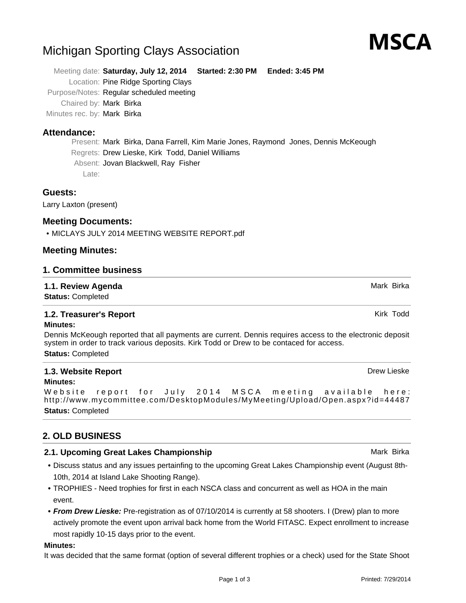# Michigan Sporting Clays Association

Meeting date: **Saturday, July 12, 2014 Started: 2:30 PM Ended: 3:45 PM** Location: Pine Ridge Sporting Clays Purpose/Notes: Regular scheduled meeting Chaired by: Mark Birka Minutes rec. by: Mark Birka

## **Attendance:**

Present: Mark Birka, Dana Farrell, Kim Marie Jones, Raymond Jones, Dennis McKeough Regrets: Drew Lieske, Kirk Todd, Daniel Williams Absent: Jovan Blackwell, Ray Fisher Late:

## **Guests:**

Larry Laxton (present)

## **Meeting Documents:**

• MICLAYS JULY 2014 MEETING WEBSITE REPORT.pdf

## **Meeting Minutes:**

### **1. Committee business**

### **1.1. Review Agenda** Mark Birka and Mark Birka and Mark Birka and Mark Birka and Mark Birka

**Status:** Completed

## **1.2. Treasurer's Report Kirk Todd Kirk Todd Kirk Todd Kirk Todd Kirk Todd**

#### **Minutes:**

Dennis McKeough reported that all payments are current. Dennis requires access to the electronic deposit system in order to track various deposits. Kirk Todd or Drew to be contaced for access. **Status:** Completed

#### **1.3. Website Report Drew Lieske Drew Lieske Drew Lieske Drew Lieske Drew Lieske Minutes:**

Website report for July 2014 MSCA meeting available here: http://www.mycommittee.com/DesktopModules/MyMeeting/Upload/Open.aspx?id=44487 **Status:** Completed

## **2. OLD BUSINESS**

## **2.1. Upcoming Great Lakes Championship Mark Birka** Mark Birka

- Discuss status and any issues pertainfing to the upcoming Great Lakes Championship event (August 8th-**•** 10th, 2014 at Island Lake Shooting Range).
- TROPHIES Need trophies for first in each NSCA class and concurrent as well as HOA in the main **•** event.
- **From Drew Lieske:** Pre-registration as of 07/10/2014 is currently at 58 shooters. I (Drew) plan to more **•** actively promote the event upon arrival back home from the World FITASC. Expect enrollment to increase most rapidly 10-15 days prior to the event.

#### **Minutes:**

It was decided that the same format (option of several different trophies or a check) used for the State Shoot



Printed: 7/29/2014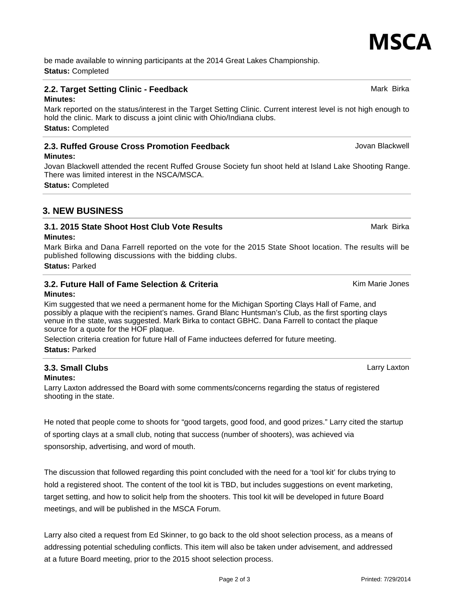Page 2 of 3

be made available to winning participants at the 2014 Great Lakes Championship. **Status:** Completed

#### **2.2. Target Setting Clinic - Feedback** Mark Birka Mark Birka Mark Birka

#### **Minutes:**

Mark reported on the status/interest in the Target Setting Clinic. Current interest level is not high enough to hold the clinic. Mark to discuss a joint clinic with Ohio/Indiana clubs. **Status:** Completed

#### **2.3. Ruffed Grouse Cross Promotion Feedback** Manual According Manual According Jovan Blackwell

#### **Minutes:**

Jovan Blackwell attended the recent Ruffed Grouse Society fun shoot held at Island Lake Shooting Range. There was limited interest in the NSCA/MSCA.

**Status:** Completed

## **3. NEW BUSINESS**

## **3.1. 2015 State Shoot Host Club Vote Results** Mark Birka Mark Birka

#### **Minutes:**

Mark Birka and Dana Farrell reported on the vote for the 2015 State Shoot location. The results will be published following discussions with the bidding clubs.

**Status:** Parked

#### **3.2. Future Hall of Fame Selection & Criteria** Kimman Marie Jones **Minutes:**

Kim suggested that we need a permanent home for the Michigan Sporting Clays Hall of Fame, and possibly a plaque with the recipient's names. Grand Blanc Huntsman's Club, as the first sporting clays venue in the state, was suggested. Mark Birka to contact GBHC. Dana Farrell to contact the plaque source for a quote for the HOF plaque.

Selection criteria creation for future Hall of Fame inductees deferred for future meeting. **Status:** Parked

## **3.3. Small Clubs** Larry Laxton

#### **Minutes:**

Larry Laxton addressed the Board with some comments/concerns regarding the status of registered shooting in the state.

He noted that people come to shoots for "good targets, good food, and good prizes." Larry cited the startup of sporting clays at a small club, noting that success (number of shooters), was achieved via sponsorship, advertising, and word of mouth.

The discussion that followed regarding this point concluded with the need for a 'tool kit' for clubs trying to hold a registered shoot. The content of the tool kit is TBD, but includes suggestions on event marketing, target setting, and how to solicit help from the shooters. This tool kit will be developed in future Board meetings, and will be published in the MSCA Forum.

Larry also cited a request from Ed Skinner, to go back to the old shoot selection process, as a means of addressing potential scheduling conflicts. This item will also be taken under advisement, and addressed at a future Board meeting, prior to the 2015 shoot selection process.

MSCA